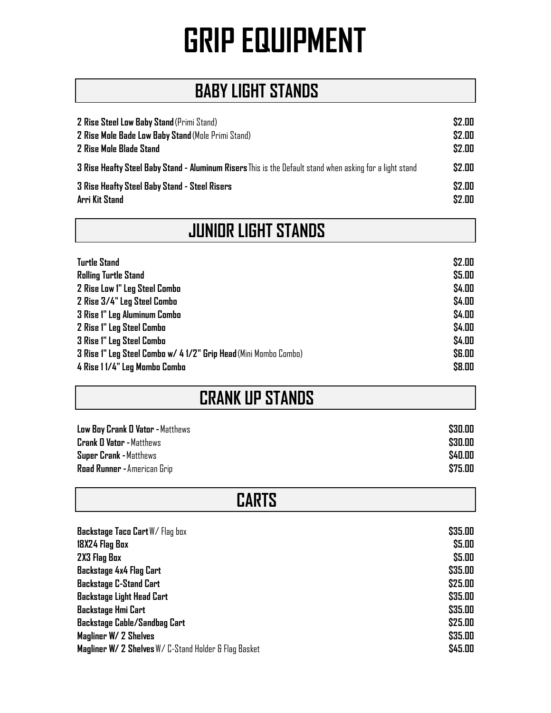### **BABY LIGHT STANDS**

| <b>2 Rise Steel Low Baby Stand</b> (Primi Stand)                                                         | \$2.00 |
|----------------------------------------------------------------------------------------------------------|--------|
| 2 Rise Mole Bade Low Baby Stand (Mole Primi Stand)                                                       | \$2.00 |
| <b>2 Rise Mole Blade Stand</b>                                                                           | \$2.00 |
| 3 Rise Heafty Steel Baby Stand - Aluminum Risers This is the Default stand when asking for a light stand | \$2.00 |
| <b>3 Rise Heafty Steel Baby Stand - Steel Risers</b>                                                     | \$2.00 |
| Arri Kit Stand                                                                                           | \$2.00 |

| <b>JUNIOR LIGHT STANDS</b> |  |
|----------------------------|--|
|                            |  |

| <b>Turtle Stand</b>                                              | \$2.00        |
|------------------------------------------------------------------|---------------|
| <b>Rolling Turtle Stand</b>                                      | \$5.00        |
| <b>2 Rise Low 1" Leg Steel Combo</b>                             | \$4.00        |
| 2 Rise 3/4" Leg Steel Combo                                      | \$4.00        |
| <b>3 Rise 1" Leg Aluminum Combo</b>                              | \$4.00        |
| 2 Rise 1" Leg Steel Combo                                        | \$4.00        |
| <b>3 Rise 1" Leg Steel Combo</b>                                 | \$4.00        |
| 3 Rise 1" Leg Steel Combo w/ 4 1/2" Grip Head (Mini Mombo Combo) | <b>\$6.00</b> |
| 4 Rise 1 1/4" Leg Mamba Comba                                    | \$8.00        |

### **CRANK UP STANDS**

**CARTS**

| Low Boy Crank O Vator - Matthews | \$30.00 |
|----------------------------------|---------|
| <b>Crank O Vator - Matthews</b>  | \$30.00 |
| <b>Super Crank - Matthews</b>    | \$40.00 |
| Road Runner - American Grip      | \$75.00 |

| Backstage Taco Cart W/Flag box                        | \$35.00 |
|-------------------------------------------------------|---------|
| 18X24 Flag Box                                        | \$5.00  |
| 2X3 Flag Box                                          | \$5.00  |
| <b>Backstage 4x4 Flag Cart</b>                        | \$35.00 |
| <b>Backstage C-Stand Cart</b>                         | \$25.00 |
| <b>Backstage Light Head Cart</b>                      | \$35.00 |
| <b>Backstage Hmi Cart</b>                             | \$35.00 |
| <b>Backstage Cable/Sandbag Cart</b>                   | \$25.00 |
| Magliner W/ 2 Shelves                                 | \$35.00 |
| Magliner W/ 2 Shelves W/ C-Stand Holder & Flag Basket | \$45.00 |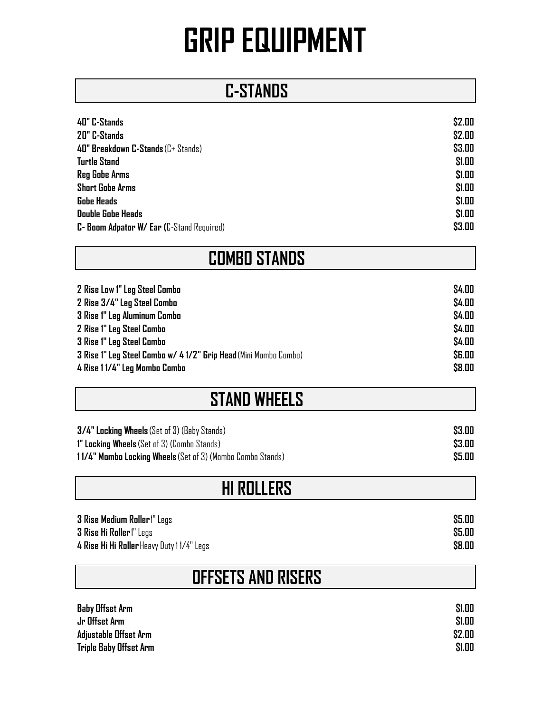#### **C-STANDS**

| 40" C-Stands                                      | \$2.00 |
|---------------------------------------------------|--------|
| 20" C-Stands                                      | \$2.00 |
| 40" Breakdown C-Stands (C+ Stands)                | \$3.00 |
| Turtle Stand                                      | \$1.00 |
| Reg Gobe Arms                                     | \$1.00 |
| Short Gobe Arms                                   | \$1.00 |
| <b>Gobe Heads</b>                                 | \$1.00 |
| Double Gobe Heads                                 | \$1.00 |
| <b>C- Boom Adpator W/ Ear (</b> C-Stand Required) | \$3.00 |

### **COMBO STANDS**

| 2 Rise Low 1" Leg Steel Combo                                    | \$4.00       |
|------------------------------------------------------------------|--------------|
| 2 Rise 3/4" Leg Steel Combo                                      | \$4.00       |
| <b>3 Rise 1" Leg Aluminum Combo</b>                              | \$4.00       |
| <b>2 Rise 1" Leg Steel Combo</b>                                 | \$4.00       |
| <b>3 Rise 1" Leg Steel Combo</b>                                 | \$4.00       |
| 3 Rise 1" Leg Steel Combo w/ 4 1/2" Grip Head (Mini Mombo Combo) | <b>SG.00</b> |
| 4 Rise 1 1/4" Leg Mombo Combo                                    | \$8.00       |

#### **STAND WHEELS**

| $3/4$ " Locking Wheels (Set of 3) (Baby Stands)            | \$3.00 |
|------------------------------------------------------------|--------|
| <b>1" Locking Wheels</b> (Set of 3) (Combo Stands)         | \$3.00 |
| 11/4" Mombo Locking Wheels (Set of 3) (Mombo Combo Stands) | \$5.00 |

### **HI ROLLERS**

| <b>3 Rise Medium Roller</b> I" Legs       | \$5.00 |
|-------------------------------------------|--------|
| <b>3 Rise Hi Roller</b> (" Legs           | \$5.00 |
| 4 Rise Hi Hi Roller Heavy Duty 11/4" Legs | \$8.00 |

#### **OFFSETS AND RISERS**

| <b>Baby Offset Arm</b>        | \$1.00 |
|-------------------------------|--------|
| Jr Offset Arm                 | \$1.00 |
| Adjustable Offset Arm         | \$2.00 |
| <b>Triple Baby Offset Arm</b> | \$1.00 |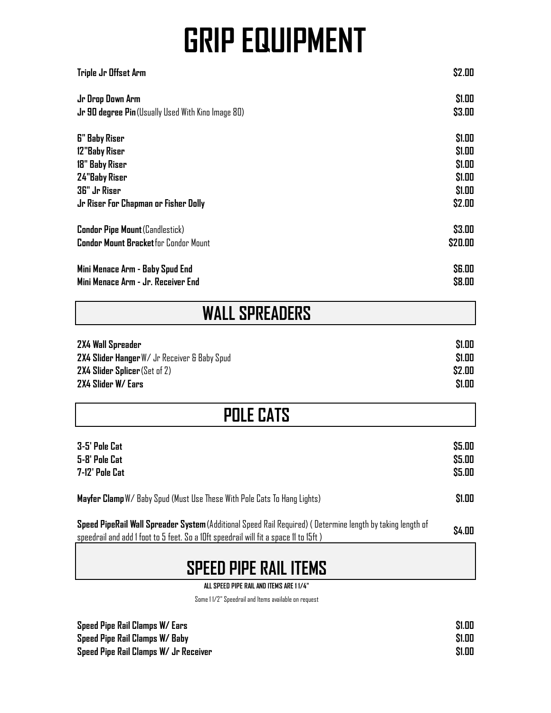| <b>WALL SPREADERS</b>                                     |               |
|-----------------------------------------------------------|---------------|
| Mini Menace Arm - Baby Spud End                           | <b>\$6.00</b> |
| Mini Menace Arm - Jr. Receiver End                        | \$8.00        |
| <b>Condor Pipe Mount (Candlestick)</b>                    | \$3.00        |
| <b>Condor Mount Bracket</b> for Condor Mount              | \$20.00       |
| 12"Baby Riser                                             | \$1.00        |
| 18" Baby Riser                                            | \$1.00        |
| 24"Baby Riser                                             | \$1.00        |
| 36" Jr Riser                                              | \$1.00        |
| Jr Riser For Chapman or Fisher Dolly                      | \$2.00        |
| Jr Drop Down Arm                                          | \$1.00        |
| <b>Jr 90 degree Pin</b> (Usually Used With Kino Image 80) | \$3.00        |
| <b>G"</b> Baby Riser                                      | \$1.00        |
| Triple Jr Offset Arm                                      | \$2.00        |

| 2X4 Wall Spreader                            | <b>S1.00</b> |
|----------------------------------------------|--------------|
| 2X4 Slider Hanger W/ Jr Receiver & Baby Spud | \$1.00       |
| $2X4$ Slider Splicer (Set of 2)              | \$2.00       |
| 2X4 Slider W/ Ears                           | \$1.00       |

| <b>POLE CATS</b> |  |
|------------------|--|
|------------------|--|

| 3-5' Pole Cat                                                            | \$5.00 |
|--------------------------------------------------------------------------|--------|
| 5-8' Pole Cat                                                            | \$5.00 |
| 7-12' Pole Cat                                                           | \$5.00 |
| Mayfer Clamp W/ Baby Spud (Must Use These With Pole Cats To Hang Lights) | \$1.00 |

| Speed PipeRail Wall Spreader System (Additional Speed Rail Required) (Determine length by taking length of | \$4.00 |
|------------------------------------------------------------------------------------------------------------|--------|
| speedrail and add I foot to 5 feet. So a 10ft speedrail will fit a space 11 to 15ft)                       |        |

#### **SPEED PIPE RAIL ITEMS**

**ALL SPEED PIPE RAIL AND ITEMS ARE 1 1/4"**

Some 1 1/2" Speedrail and Items available on request

| Speed Pipe Rail Clamps W/ Ears        | \$1.00 |
|---------------------------------------|--------|
| Speed Pipe Rail Clamps W/ Baby        | \$1.00 |
| Speed Pipe Rail Clamps W/ Jr Receiver | \$1.00 |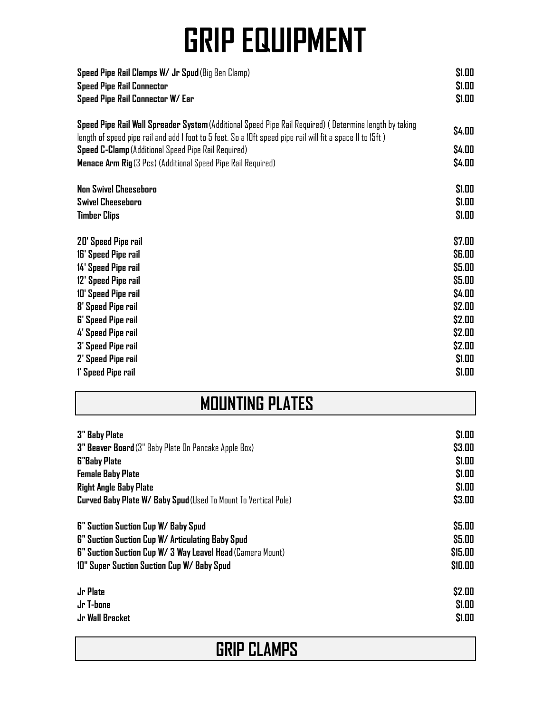| Speed Pipe Rail Clamps W/ Jr Spud (Big Ben Clamp)<br><b>Speed Pipe Rail Connector</b><br>Speed Pipe Rail Connector W/ Ear                                                                                            | \$1.00<br>\$1.00<br>\$1.00 |
|----------------------------------------------------------------------------------------------------------------------------------------------------------------------------------------------------------------------|----------------------------|
| Speed Pipe Rail Wall Spreader System (Additional Speed Pipe Rail Required) (Determine length by taking<br>length of speed pipe rail and add I foot to 5 feet. So a 10ft speed pipe rail will fit a space 11 to 15ft) | \$4.00                     |
| <b>Speed C-Clamp</b> (Additional Speed Pipe Rail Required)<br><b>Menace Arm Rig</b> (3 Pcs) (Additional Speed Pipe Rail Required)                                                                                    | \$4.00<br>\$4.00           |
| <b>Non Swivel Cheeseboro</b>                                                                                                                                                                                         | \$1.00                     |
| <b>Swivel Cheeseboro</b>                                                                                                                                                                                             | \$1.00                     |
| <b>Timber Clips</b>                                                                                                                                                                                                  | \$1.00                     |
| 20' Speed Pipe rail                                                                                                                                                                                                  | \$7.00                     |
| 16' Speed Pipe rail                                                                                                                                                                                                  | <b>\$6.00</b>              |
| 14' Speed Pipe rail                                                                                                                                                                                                  | \$5.00                     |
| 12' Speed Pipe rail                                                                                                                                                                                                  | \$5.00                     |
| 10' Speed Pipe rail                                                                                                                                                                                                  | \$4.00                     |
| <b>8' Speed Pipe rail</b>                                                                                                                                                                                            | \$2.00                     |
| <b>6' Speed Pipe rail</b>                                                                                                                                                                                            | \$2.00                     |
| 4' Speed Pipe rail                                                                                                                                                                                                   | \$2.00                     |
| <b>3' Speed Pipe rail</b>                                                                                                                                                                                            | \$2.00                     |
| 2' Speed Pipe rail                                                                                                                                                                                                   | \$1.00                     |
| 1' Speed Pipe rail                                                                                                                                                                                                   | \$1.00                     |

### **MOUNTING PLATES**

| <b>3" Baby Plate</b>                                                   | \$1.00  |
|------------------------------------------------------------------------|---------|
| 3" Beaver Board (3" Baby Plate On Pancake Apple Box)                   | \$3.00  |
| <b>G"Baby Plate</b>                                                    | \$1.00  |
| <b>Female Baby Plate</b>                                               | \$1.00  |
| <b>Right Angle Baby Plate</b>                                          | \$1.00  |
| <b>Curved Baby Plate W/ Baby Spud</b> (Used To Mount To Vertical Pole) | \$3.00  |
| <b>6" Suction Suction Cup W/ Baby Spud</b>                             | \$5.00  |
| <b>6" Suction Suction Cup W/ Articulating Baby Spud</b>                | \$5.00  |
| <b>6" Suction Suction Cup W/ 3 Way Leavel Head (Camera Mount)</b>      | \$15.00 |
| 10" Super Suction Suction Cup W/ Baby Spud                             | \$10.00 |
| Jr Plate                                                               | \$2.00  |
| Jr T-bone                                                              | \$1.00  |
| Jr Wall Bracket                                                        | \$1.00  |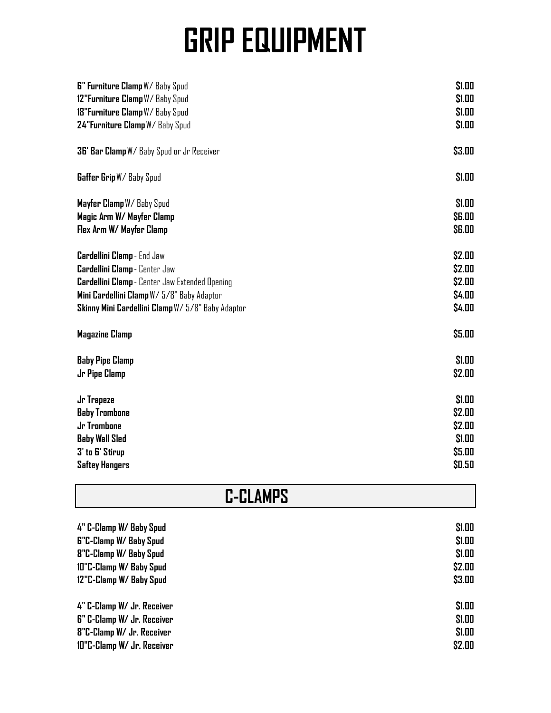| <b>6" Furniture Clamp W/ Baby Spud</b>                | \$1.00        |
|-------------------------------------------------------|---------------|
| 12"Furniture Clamp W/ Baby Spud                       | \$1.00        |
| 18"Furniture Clamp W/ Baby Spud                       | \$1.00        |
|                                                       |               |
| 24"Furniture Clamp W/ Baby Spud                       | \$1.00        |
| 36' Bar Clamp W/ Baby Spud or Jr Receiver             | \$3.00        |
| Gaffer Grip W/ Baby Spud                              | \$1.00        |
| Mayfer Clamp W/ Baby Spud                             | \$1.00        |
| Magic Arm W/ Mayfer Clamp                             | <b>\$6.00</b> |
| Flex Arm W/ Mayfer Clamp                              | <b>\$6.00</b> |
| Cardellini Clamp - End Jaw                            | \$2.00        |
| Cardellini Clamp - Center Jaw                         | \$2.00        |
| <b>Cardellini Clamp</b> - Center Jaw Extended Opening | \$2.00        |
| Mini Cardellini Clamp W/ 5/8" Baby Adaptor            | \$4.00        |
| Skinny Mini Cardellini Clamp W/5/8" Baby Adaptor      | \$4.00        |
|                                                       |               |
| <b>Magazine Clamp</b>                                 | \$5.00        |
| <b>Baby Pipe Clamp</b>                                | \$1.00        |
| Jr Pipe Clamp                                         | \$2.00        |
| Jr Trapeze                                            | \$1.00        |
| <b>Baby Trombone</b>                                  | \$2.00        |
| Jr Trombone                                           | \$2.00        |
| <b>Baby Wall Sled</b>                                 | \$1.00        |
| 3' to 6' Stirup                                       | \$5.00        |
| <b>Saftey Hangers</b>                                 | \$0.50        |
|                                                       |               |

| <b>C-CLAMPS</b> |  |  |  |  |
|-----------------|--|--|--|--|
|-----------------|--|--|--|--|

| 4" C-Clamp W/ Baby Spud       | \$1.00 |
|-------------------------------|--------|
| <b>G"C-Clamp W/ Baby Spud</b> | \$1.00 |
| 8"C-Clamp W/ Baby Spud        | \$1.00 |
| 10"C-Clamp W/ Baby Spud       | \$2.00 |
| 12"C-Clamp W/ Baby Spud       | \$3.00 |
| 4" C-Clamp W/ Jr. Receiver    | \$1.00 |
| 6" C-Clamp W/ Jr. Receiver    | \$1.00 |
| 8"C-Clamp W/ Jr. Receiver     | \$1.00 |
| 10"C-Clamp W/ Jr. Receiver    | \$2.00 |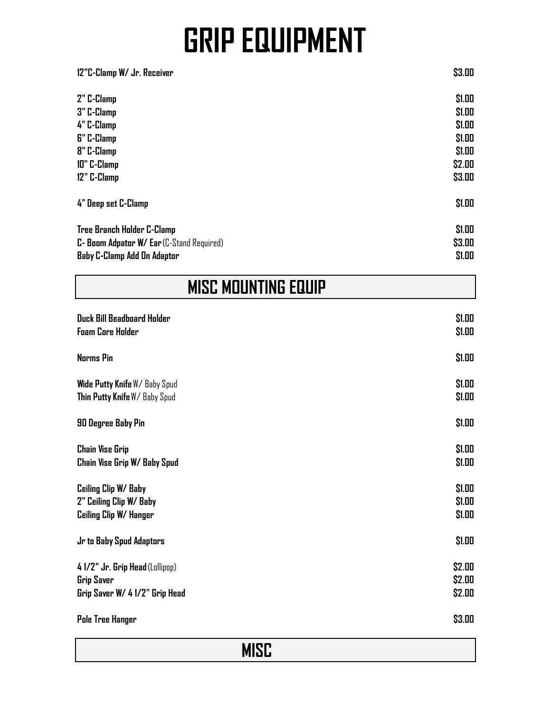| \$1.00<br>2" C-Clamp<br>\$1.00<br>3" C-Clamp               |
|------------------------------------------------------------|
|                                                            |
|                                                            |
| \$1.00<br>4" C-Clamp                                       |
| \$1.00<br><b>6"</b> C-Clamp                                |
| <b>8"</b> C-Clamp<br>\$1.00                                |
| \$2.00<br>10" C-Clamp                                      |
| \$3.00<br>12" C-Clamp                                      |
| \$1.00<br>4" Deep set C-Clamp                              |
| \$1.00<br>Tree Branch Holder C-Clamp                       |
| \$3.00<br><b>C- Boom Adpator W/ Ear</b> (C-Stand Required) |
| \$1.00<br><b>Baby C-Clamp Add On Adaptor</b>               |

| MISC MOUNTING EQUIP |  |  |
|---------------------|--|--|
|---------------------|--|--|

| <b>Duck Bill Beadboard Holder</b> | \$1.00 |
|-----------------------------------|--------|
| <b>Foam Core Holder</b>           | \$1.00 |
| <b>Norms Pin</b>                  | \$1.00 |
| Wide Putty Knife W/ Baby Spud     | \$1.00 |
| Thin Putty Knife W/ Baby Spud     | \$1.00 |
| 90 Degree Baby Pin                | \$1.00 |
| <b>Chain Vise Grip</b>            | \$1.00 |
| Chain Vise Grip W/ Baby Spud      | \$1.00 |
| Ceiling Clip W/ Baby              | \$1.00 |
| 2" Ceiling Clip W/ Baby           | \$1.00 |
| Ceiling Clip W/ Hanger            | \$1.00 |
| Jr to Baby Spud Adaptors          | \$1.00 |
| 4 1/2" Jr. Grip Head (Lollipop)   | \$2.00 |
| <b>Grip Saver</b>                 | \$2.00 |
| Grip Saver W/ 4 1/2" Grip Head    | \$2.00 |
| Pole Tree Hanger                  | \$3.00 |

**MISC**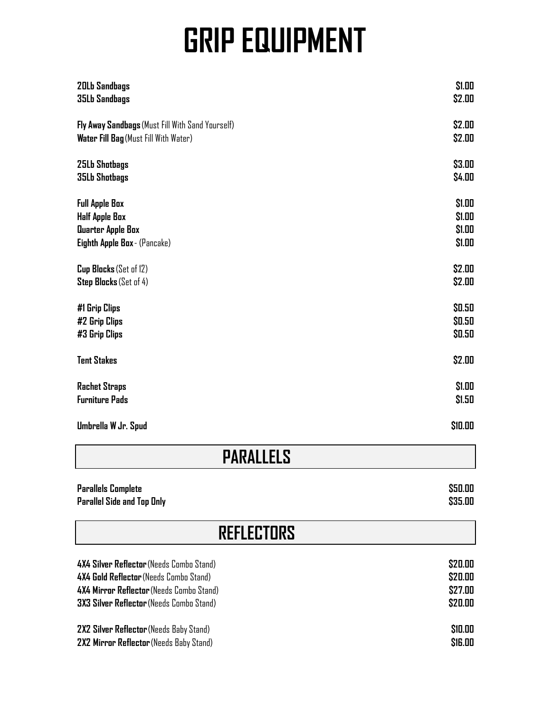| <b>20Lb Sandbags</b>                             | \$1.00  |
|--------------------------------------------------|---------|
| <b>35Lb Sandbags</b>                             | \$2.00  |
| Fly Away Sandbags (Must Fill With Sand Yourself) | \$2.00  |
| Water Fill Bag (Must Fill With Water)            | \$2.00  |
| <b>25Lb Shotbags</b>                             | \$3.00  |
| <b>35Lb Shotbags</b>                             | \$4.00  |
| <b>Full Apple Box</b>                            | \$1.00  |
| <b>Half Apple Box</b>                            | \$1.00  |
| Quarter Apple Box                                | \$1.00  |
| Eighth Apple Box - (Pancake)                     | \$1.00  |
| Cup Blocks (Set of 12)                           | \$2.00  |
| Step Blocks (Set of 4)                           | \$2.00  |
| #1 Grip Clips                                    | \$0.50  |
| #2 Grip Clips                                    | \$0.50  |
| #3 Grip Clips                                    | \$0.50  |
| <b>Tent Stakes</b>                               | \$2.00  |
| <b>Rachet Straps</b>                             | \$1.00  |
| <b>Furniture Pads</b>                            | \$1.50  |
| Umbrella W Jr. Spud                              | \$10.00 |

| <b>PARALLELS</b>                                |         |
|-------------------------------------------------|---------|
| <b>Parallels Complete</b>                       | \$50.00 |
| <b>Parallel Side and Top Only</b>               | \$35.00 |
| <b>REFLECTORS</b>                               |         |
| 4X4 Silver Reflector (Needs Combo Stand)        | \$20.00 |
| 4X4 Gold Reflector (Needs Combo Stand)          | \$20.00 |
| 4X4 Mirror Reflector (Needs Combo Stand)        | \$27.00 |
| <b>3X3 Silver Reflector</b> (Needs Combo Stand) | \$20.00 |

**2X2 Silver Reflector** (Needs Baby Stand) **\$10.00 2X2 Mirror Reflector** (Needs Baby Stand) **\$16.00**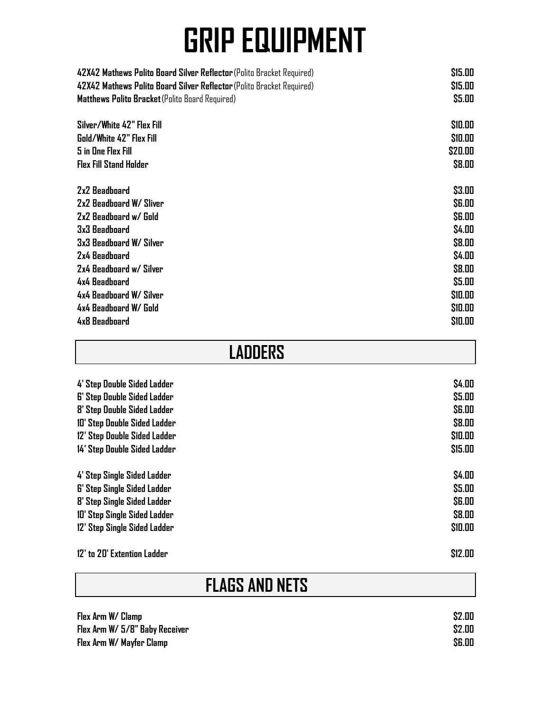| 42X42 Mathews Polito Board Silver Reflector (Polito Bracket Required) | \$15.00       |
|-----------------------------------------------------------------------|---------------|
| 42X42 Mathews Polito Board Silver Reflector (Polito Bracket Required) | \$15.00       |
| Matthews Polito Bracket (Polito Board Required)                       | \$5.00        |
| Silver/White 42" Flex Fill                                            | \$10.00       |
| Gold/White 42" Flex Fill                                              | \$10.00       |
| <b>5 in One Flex Fill</b>                                             | \$20.00       |
| <b>Flex Fill Stand Holder</b>                                         | \$8.00        |
| 2x2 Beadboard                                                         | \$3.00        |
| 2x2 Beadboard W/ Sliver                                               | <b>\$6.00</b> |
| 2x2 Beadboard w/ Gold                                                 | <b>\$6.00</b> |
| 3x3 Beadboard                                                         | \$4.00        |
| 3x3 Beadboard W/ Silver                                               | \$8.00        |
| 2x4 Beadboard                                                         | \$4.00        |
| 2x4 Beadboard w/ Silver                                               | \$8.00        |
| 4x4 Beadboard                                                         | \$5.00        |
| 4x4 Beadboard W/ Silver                                               | \$10.00       |
| 4x4 Beadboard W/ Gold                                                 | \$10.00       |
| 4x8 Beadboard                                                         | \$10.00       |

| <b>LADDERS</b>                     |               |
|------------------------------------|---------------|
| 4' Step Double Sided Ladder        | \$4.00        |
| <b>6' Step Double Sided Ladder</b> | \$5.00        |
| 8' Step Double Sided Ladder        | <b>\$6.00</b> |
| 10' Step Double Sided Ladder       | \$8.00        |
| 12' Step Double Sided Ladder       | \$10.00       |
| 14' Step Double Sided Ladder       | \$15.00       |
| 4' Step Single Sided Ladder        | \$4.00        |
| <b>6' Step Single Sided Ladder</b> | \$5.00        |
| 8' Step Single Sided Ladder        | <b>\$6.00</b> |
| 10' Step Single Sided Ladder       | \$8.00        |
| 12' Step Single Sided Ladder       | \$10.00       |
| 12' to 20' Extention Ladder        | \$12.00       |

### **FLAGS AND NETS**

| Flex Arm W/ Clamp              | \$2.00        |
|--------------------------------|---------------|
| Flex Arm W/ 5/8" Baby Receiver | \$2.00        |
| Flex Arm W/ Mayfer Clamp       | <b>\$6.00</b> |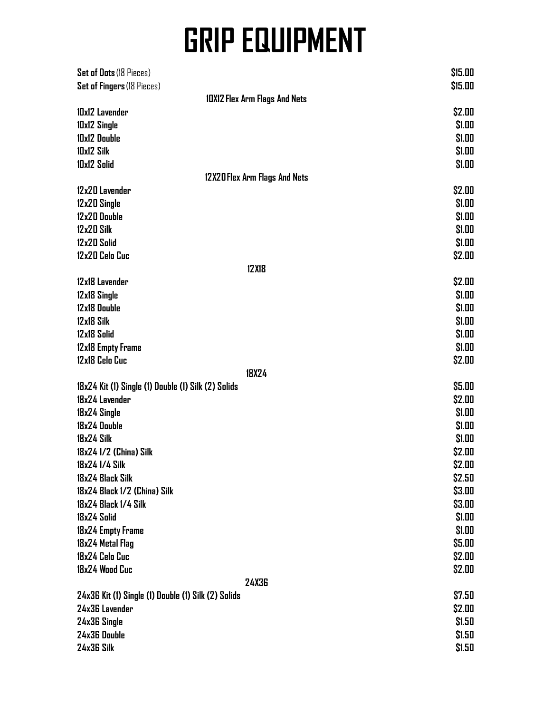| Set of Dots (18 Pieces)                              | \$15.00                              |  |
|------------------------------------------------------|--------------------------------------|--|
| Set of Fingers (18 Pieces)                           | \$15.00                              |  |
|                                                      | <b>10X12 Flex Arm Flags And Nets</b> |  |
| 10x12 Lavender                                       | \$2.00                               |  |
| 10x12 Single                                         | \$1.00                               |  |
| 10x12 Double                                         | \$1.00                               |  |
| <b>IDx12 Silk</b>                                    | \$1.00                               |  |
| 10x12 Solid                                          | \$1.00                               |  |
|                                                      | 12X20 Flex Arm Flags And Nets        |  |
| 12x20 Lavender                                       | \$2.00                               |  |
| 12x20 Single                                         | \$1.00                               |  |
| 12x20 Double                                         | \$1.00                               |  |
| 12x20 Silk                                           | \$1.00                               |  |
| 12x20 Solid                                          | \$1.00                               |  |
| 12x20 Celo Cuc                                       | \$2.00                               |  |
|                                                      | <b>12X18</b>                         |  |
| 12x18 Lavender                                       | \$2.00                               |  |
| 12x18 Single                                         | \$1.00                               |  |
| 12x18 Double                                         | \$1.00                               |  |
| 12x18 Silk                                           | \$1.00                               |  |
| 12x18 Solid                                          | \$1.00                               |  |
| 12x18 Empty Frame                                    | \$1.00                               |  |
| 12x18 Celo Cuc                                       | \$2.00                               |  |
|                                                      | <b>18X24</b>                         |  |
| 18x24 Kit (1) Single (1) Double (1) Silk (2) Solids  | \$5.00                               |  |
| 18x24 Lavender                                       | \$2.00                               |  |
| 18x24 Single                                         | \$1.00                               |  |
| 18x24 Double                                         | \$1.00                               |  |
| 18x24 Silk                                           | \$1.00                               |  |
| 18x24 1/2 (China) Silk                               | \$2.00                               |  |
| 18x24 1/4 Silk                                       | \$2.00                               |  |
| 18x24 Black Silk                                     | \$2.50                               |  |
|                                                      | \$3.00                               |  |
| 18x24 Black 1/2 (China) Silk<br>18x24 Black 1/4 Silk |                                      |  |
|                                                      | \$3.00                               |  |
| 18x24 Solid                                          | \$1.00                               |  |
| 18x24 Empty Frame                                    | \$1.00                               |  |
| 18x24 Metal Flag                                     | \$5.00                               |  |
| 18x24 Celo Cuc                                       | \$2.00                               |  |
| 18x24 Wood Cuc                                       | \$2.00                               |  |
|                                                      | <b>24X36</b>                         |  |
| 24x36 Kit (1) Single (1) Double (1) Silk (2) Solids  | \$7.50                               |  |
| 24x36 Lavender                                       | \$2.00                               |  |
| 24x36 Single                                         | \$1.50                               |  |
| 24x36 Double                                         | \$1.50                               |  |
| 24x36 Silk                                           | \$1.50                               |  |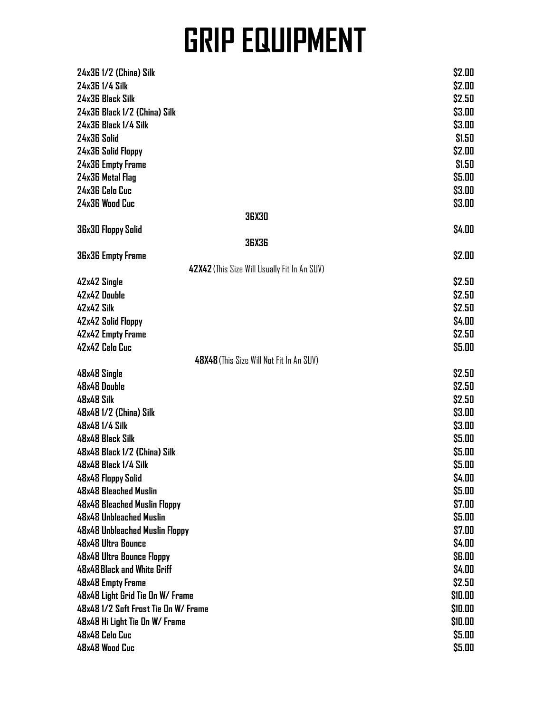| 24x36 1/2 (China) Silk                       | \$2.00        |
|----------------------------------------------|---------------|
| 24x36 1/4 Silk                               | \$2.00        |
| 24x36 Black Silk                             | \$2.50        |
| 24x36 Black 1/2 (China) Silk                 | \$3.00        |
| 24x36 Black 1/4 Silk                         | \$3.00        |
| 24x36 Solid                                  | \$1.50        |
|                                              |               |
| 24x36 Solid Floppy                           | \$2.00        |
| 24x36 Empty Frame                            | \$1.50        |
| 24x36 Metal Flag                             | \$5.00        |
| 24x36 Celo Cuc                               | \$3.00        |
| 24x36 Wood Cuc                               | \$3.00        |
| <b>36X30</b>                                 |               |
| 36x30 Floppy Solid                           | \$4.00        |
| <b>36X36</b>                                 |               |
| <b>36x36 Empty Frame</b>                     | \$2.00        |
| 42X42 (This Size Will Usually Fit In An SUV) |               |
| 42x42 Single                                 | \$2.50        |
| 42x42 Double                                 | \$2.50        |
| 42x42 Silk                                   | \$2.50        |
| 42x42 Solid Floppy                           | \$4.00        |
| 42x42 Empty Frame                            | \$2.50        |
| 42x42 Celo Cuc                               | \$5.00        |
| 48X48 (This Size Will Not Fit In An SUV)     |               |
| 48x48 Single                                 | \$2.50        |
| 48x48 Double                                 | \$2.50        |
| 48x48 Silk                                   | \$2.50        |
| 48x48 1/2 (China) Silk                       | \$3.00        |
| 48x48 1/4 Silk                               | \$3.00        |
| <b>48x48 Black Silk</b>                      | \$5.00        |
| 48x48 Black 1/2 (China) Silk                 | \$5.00        |
| 48x48 Black 1/4 Silk                         | \$5.00        |
| 48x48 Floppy Solid                           | \$4.00        |
| 48x48 Bleached Muslin                        | \$5.00        |
| 48x48 Bleached Muslin Floppy                 | \$7.00        |
| 48x48 Unbleached Muslin                      | \$5.00        |
| 48x48 Unbleached Muslin Floppy               | \$7.00        |
| 48x48 Ultra Bounce                           | \$4.00        |
| 48x48 Ultra Bounce Floppy                    | <b>\$6.00</b> |
| 48x48 Black and White Griff                  | \$4.00        |
| 48x48 Empty Frame                            | \$2.50        |
| 48x48 Light Grid Tie On W/ Frame             | \$10.00       |
| 48x48 1/2 Soft Frost Tie On W/ Frame         | \$10.00       |
| 48x48 Hi Light Tie On W/ Frame               | \$10.00       |
| 48x48 Celo Cuc                               | \$5.00        |
| 48x48 Wood Cuc                               | \$5.00        |
|                                              |               |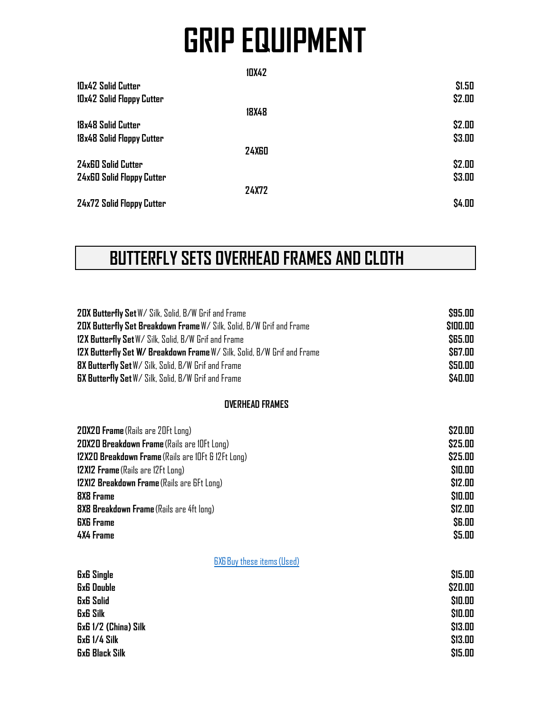| \$1.50                       |
|------------------------------|
| \$2.00                       |
|                              |
| \$2.00                       |
| \$3.00                       |
|                              |
| \$2.00                       |
| \$3.00                       |
|                              |
| \$4.00                       |
| <b>24X60</b><br><b>24X72</b> |

### **BUTTERFLY SETS OVERHEAD FRAMES AND CLOTH**

| 20X Butterfly Set W/ Silk, Solid, B/W Grif and Frame<br>20X Butterfly Set Breakdown Frame W/ Silk, Solid, B/W Grif and Frame<br>12X Butterfly Set W/ Silk, Solid, B/W Grif and Frame<br>12X Butterfly Set W/ Breakdown Frame W/ Silk, Solid, B/W Grif and Frame<br>8X Butterfly Set W/ Silk, Solid, B/W Grif and Frame | \$95.00<br>\$100.00<br>\$65.00<br><b>\$67.00</b><br>\$50.00 |
|------------------------------------------------------------------------------------------------------------------------------------------------------------------------------------------------------------------------------------------------------------------------------------------------------------------------|-------------------------------------------------------------|
| <b>GX Butterfly Set W/ Silk, Solid, B/W Grif and Frame</b>                                                                                                                                                                                                                                                             | \$40.00                                                     |
| <b>OVERHEAD FRAMES</b>                                                                                                                                                                                                                                                                                                 |                                                             |
| <b>20X20 Frame</b> (Rails are 20Ft Long)<br>20X20 Breakdown Frame (Rails are IOFt Long)                                                                                                                                                                                                                                | \$20.00<br>\$25.00                                          |
| 12X20 Breakdown Frame (Rails are IOFt & 12Ft Long)                                                                                                                                                                                                                                                                     | \$25.00                                                     |
| 12X12 Frame (Rails are 12Ft Long)                                                                                                                                                                                                                                                                                      | \$10.00                                                     |
| 12X12 Breakdown Frame (Rails are 6Ft Long)                                                                                                                                                                                                                                                                             | \$12.00                                                     |
| <b>8X8 Frame</b>                                                                                                                                                                                                                                                                                                       | \$10.00                                                     |
| 8X8 Breakdown Frame (Rails are 4ft long)                                                                                                                                                                                                                                                                               | \$12.00                                                     |
| <b>GXG</b> Frame                                                                                                                                                                                                                                                                                                       | <b>SG.00</b>                                                |
| <b>4X4 Frame</b>                                                                                                                                                                                                                                                                                                       | \$5.00                                                      |
| <b>GXG Buy these items (Used)</b>                                                                                                                                                                                                                                                                                      |                                                             |
| <b><i>GxG Single</i></b>                                                                                                                                                                                                                                                                                               | \$15.00                                                     |
| <b>GxG Double</b>                                                                                                                                                                                                                                                                                                      | \$20.00                                                     |
| <b>GxG Solid</b>                                                                                                                                                                                                                                                                                                       | \$10.00                                                     |
| <b>GxG Silk</b><br><b>ExE 1/2 (China) Silk</b>                                                                                                                                                                                                                                                                         | \$10.00<br>\$13.00                                          |
| <b>GxG 1/4 Silk</b>                                                                                                                                                                                                                                                                                                    | \$13.00                                                     |
| <b>GxG Black Silk</b>                                                                                                                                                                                                                                                                                                  | \$15.00                                                     |
|                                                                                                                                                                                                                                                                                                                        |                                                             |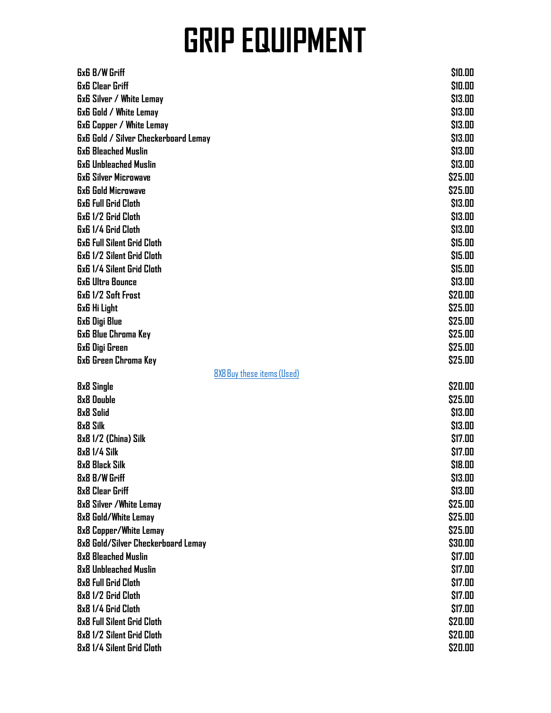| <b>GxG B/W Griff</b>                        | \$10.00 |
|---------------------------------------------|---------|
| <b>GxG Clear Griff</b>                      | \$10.00 |
| <b>GxG Silver / White Lemay</b>             | \$13.00 |
| <b>6x6 Gold / White Lemay</b>               | \$13.00 |
| <b>6x6 Copper / White Lemay</b>             | \$13.00 |
| <b>6x6 Gold / Silver Checkerboard Lemay</b> | \$13.00 |
| <b>GxG Bleached Muslin</b>                  | \$13.00 |
| <b>6x6 Unbleached Muslin</b>                | \$13.00 |
| <b>6x6 Silver Microwave</b>                 | \$25.00 |
| <b>6x6 Gold Microwave</b>                   | \$25.00 |
| <b>6x6 Full Grid Cloth</b>                  | \$13.00 |
| <b>6x6 1/2 Grid Cloth</b>                   | \$13.00 |
| <b>6x6 1/4 Grid Cloth</b>                   | \$13.00 |
| <b>6x6 Full Silent Grid Cloth</b>           | \$15.00 |
| <b>6x6 1/2 Silent Grid Cloth</b>            | \$15.00 |
| <b>6x6 1/4 Silent Grid Cloth</b>            | \$15.00 |
| <b>6x6 Ultra Bounce</b>                     | \$13.00 |
| <b>GxG 1/2 Soft Frost</b>                   | \$20.00 |
| <b>GxG Hi Light</b>                         | \$25.00 |
| <b>6x6 Digi Blue</b>                        | \$25.00 |
| <b>6x6 Blue Chroma Key</b>                  | \$25.00 |
| 6x6 Digi Green                              | \$25.00 |
| <b>6x6 Green Chroma Key</b>                 | \$25.00 |
| 8X8 Buy these items (Used)                  |         |
| 8x8 Single                                  | \$20.00 |
| 8x8 Double                                  | \$25.00 |
| <b>8x8 Solid</b>                            | \$13.00 |
| <b>8x8 Silk</b>                             | \$13.00 |
| 8x8 1/2 (China) Silk                        | \$17.00 |
| <b>8x8 1/4 Silk</b>                         | \$17.00 |
| 8x8 Black Silk                              | \$18.00 |
| <b>8x8 B/W Griff</b>                        | \$13.00 |
| 8x8 Clear Griff                             | \$13.00 |
| <b>8x8 Silver / White Lemay</b>             | \$25.00 |
| 8x8 Gold/White Lemay                        | \$25.00 |
| 8x8 Copper/White Lemay                      | \$25.00 |
| 8x8 Gold/Silver Checkerboard Lemay          | \$30.00 |
| 8x8 Bleached Muslin                         | \$17.00 |
| 8x8 Unbleached Muslin                       | \$17.00 |
| 8x8 Full Grid Cloth                         | \$17.00 |
| 8x8 1/2 Grid Cloth                          | \$17.00 |
| 8x8 1/4 Grid Cloth                          | \$17.00 |
| 8x8 Full Silent Grid Cloth                  | \$20.00 |
| 8x8 1/2 Silent Grid Cloth                   | \$20.00 |
| 8x8 1/4 Silent Grid Cloth                   | \$20.00 |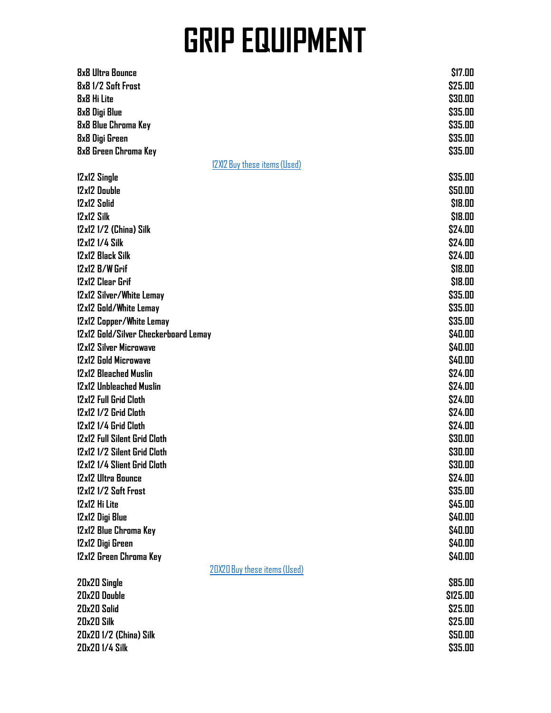| <b>8x8 Ultra Bounce</b>              | \$17.00                      |
|--------------------------------------|------------------------------|
| 8x8 1/2 Soft Frost                   | \$25.00                      |
| 8x8 Hi Lite                          | \$30.00                      |
| <b>8x8 Digi Blue</b>                 | \$35.00                      |
| 8x8 Blue Chroma Key                  | \$35.00                      |
| 8x8 Digi Green                       | \$35.00                      |
| 8x8 Green Chroma Key                 | \$35.00                      |
|                                      | 12X12 Buy these items (Used) |
| 12x12 Single                         | \$35.00                      |
| 12x12 Double                         | \$50.00                      |
| 12x12 Solid                          | \$18.00                      |
| 12x12 Silk                           |                              |
|                                      | \$18.00                      |
| 12x12 1/2 (China) Silk               | \$24.00                      |
| 12x12 1/4 Silk                       | \$24.00                      |
| 12x12 Black Silk                     | \$24.00                      |
| 12x12 B/W Grif                       | \$18.00                      |
| 12x12 Clear Grif                     | \$18.00                      |
| 12x12 Silver/White Lemay             | \$35.00                      |
| 12x12 Gold/White Lemay               | \$35.00                      |
| 12x12 Copper/White Lemay             | \$35.00                      |
| 12x12 Gold/Silver Checkerboard Lemay | \$40.00                      |
| 12x12 Silver Microwave               | \$40.00                      |
| 12x12 Gold Microwave                 | \$40.00                      |
| 12x12 Bleached Muslin                | \$24.00                      |
| 12x12 Unbleached Muslin              | \$24.00                      |
| 12x12 Full Grid Cloth                | \$24.00                      |
| 12x12 1/2 Grid Cloth                 | \$24.00                      |
| 12x12 1/4 Grid Cloth                 | \$24.00                      |
| 12x12 Full Silent Grid Cloth         | \$30.00                      |
| 12x12 1/2 Silent Grid Cloth          | \$30.00                      |
| 12x12 1/4 Slient Grid Cloth          | \$30.00                      |
| 12x12 Ultra Bounce                   | \$24.00                      |
| 12x12 1/2 Soft Frost                 | \$35.00                      |
| 12x12 Hi Lite                        | \$45.00                      |
| 12x12 Digi Blue                      | \$40.00                      |
| 12x12 Blue Chroma Key                | \$40.00                      |
| 12x12 Digi Green                     | \$40.00                      |
| 12x12 Green Chroma Key               | \$40.00                      |
|                                      | 20X20 Buy these items (Used) |
| 20x20 Single                         | \$85.00                      |
| 20x20 Double                         | \$125.00                     |
| 20x20 Solid                          | \$25.00                      |
| 20x20 Silk                           | \$25.00                      |
| 20x201/2 (China) Silk                | \$50.00                      |
| 20x20 1/4 Silk                       | \$35.00                      |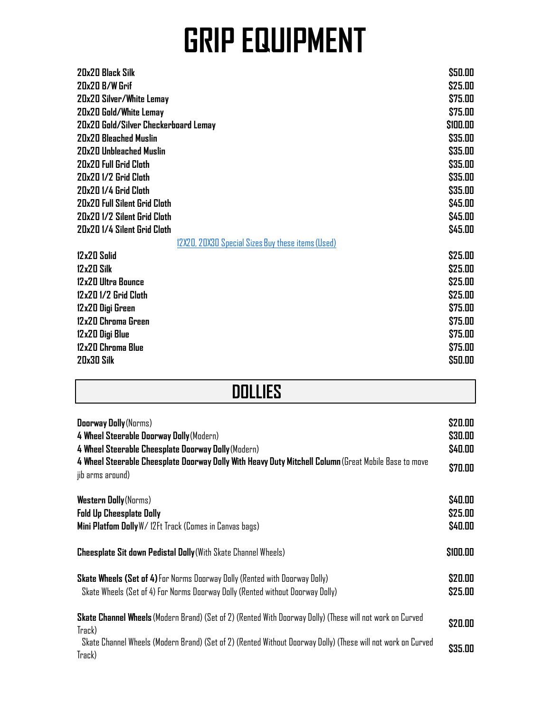| 20x20 Black Silk                                  | \$50.00  |
|---------------------------------------------------|----------|
| 20x20 B/W Grif                                    | \$25.00  |
| 20x20 Silver/White Lemay                          | \$75.00  |
| 20x20 Gold/White Lemay                            | \$75.00  |
| 20x20 Gold/Silver Checkerboard Lemay              | \$100.00 |
| 20x20 Bleached Muslin                             | \$35.00  |
| 20x20 Unbleached Muslin                           | \$35.00  |
| 20x20 Full Grid Cloth                             | \$35.00  |
| 20x20 1/2 Grid Cloth                              | \$35.00  |
| 20x20 1/4 Grid Cloth                              | \$35.00  |
| <b>20x20 Full Silent Grid Cloth</b>               | \$45.00  |
| 20x20 1/2 Silent Grid Cloth                       | \$45.00  |
| 20x20 1/4 Silent Grid Cloth                       | \$45.00  |
| 12X20, 20X30 Special Sizes Buy these items (Used) |          |
| 12x20 Solid                                       | \$25.00  |
| 12x20 Silk                                        | \$25.00  |
| 12x20 Ultra Bounce                                | \$25.00  |
| 12x20 1/2 Grid Cloth                              | \$25.00  |
| 12x20 Digi Green                                  | \$75.00  |
| 12x20 Chroma Green                                | \$75.00  |
| 12x20 Digi Blue                                   | \$75.00  |
| 12x20 Chroma Blue                                 | \$75.00  |
| 20x30 Silk                                        | \$50.00  |
|                                                   |          |

#### **DOLLIES**

| <b>Doorway Dolly</b> (Norms)<br>4 Wheel Steerable Doorway Dolly (Modern)<br>4 Wheel Steerable Cheesplate Doorway Dolly (Modern)<br>4 Wheel Steerable Cheesplate Doorway Dolly With Heavy Duty Mitchell Column (Great Mobile Base to move<br>jib arms around) | \$20.00<br>\$30.00<br>\$40.00<br>\$70.00 |
|--------------------------------------------------------------------------------------------------------------------------------------------------------------------------------------------------------------------------------------------------------------|------------------------------------------|
| <b>Western Dolly</b> (Norms)<br><b>Fold Up Cheesplate Dolly</b><br>Mini Platfom Dolly W/ 12Ft Track (Comes in Canvas bags)                                                                                                                                   | \$40.00<br>\$25.00<br>\$40.00            |
| <b>Cheesplate Sit down Pedistal Dolly</b> (With Skate Channel Wheels)                                                                                                                                                                                        | \$100.00                                 |
| Skate Wheels (Set of 4) For Norms Doorway Dolly (Rented with Doorway Dolly)<br>Skate Wheels (Set of 4) For Norms Doorway Dolly (Rented without Doorway Dolly)                                                                                                | \$20.00<br>\$25.00                       |
| Skate Channel Wheels (Modern Brand) (Set of 2) (Rented With Doorway Dolly) (These will not work on Curved<br>Track)<br>Skate Channel Wheels (Modern Brand) (Set of 2) (Rented Without Doorway Dolly) (These will not work on Curved<br>Track)                | \$20.00<br>\$35.00                       |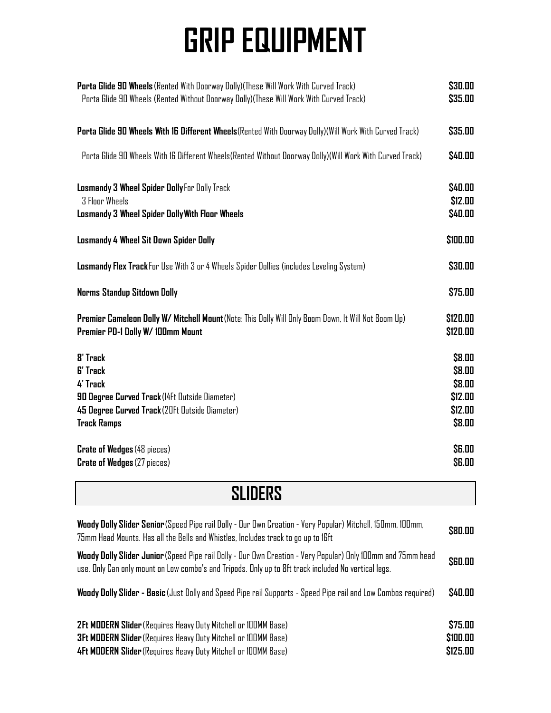| Porta Glide 90 Wheels (Rented With Doorway Dolly) (These Will Work With Curved Track)<br>Porta Glide 90 Wheels (Rented Without Doorway Dolly)(These Will Work With Curved Track) |                                                            |
|----------------------------------------------------------------------------------------------------------------------------------------------------------------------------------|------------------------------------------------------------|
| Porta Glide 90 Wheels With 16 Different Wheels (Rented With Doorway Dolly) (Will Work With Curved Track)                                                                         | \$35.00                                                    |
| Porta Glide 90 Wheels With 16 Different Wheels(Rented Without Doorway Dolly)(Will Work With Curved Track)                                                                        | \$40.00                                                    |
| Losmandy 3 Wheel Spider Dolly For Dolly Track<br><b>3 Floor Wheels</b><br><b>Losmandy 3 Wheel Spider Dolly With Floor Wheels</b>                                                 | \$40.00<br>\$12.00<br>\$40.00                              |
| <b>Losmandy 4 Wheel Sit Down Spider Dolly</b>                                                                                                                                    | \$100.00                                                   |
| Losmandy Flex Track For Use With 3 or 4 Wheels Spider Dollies (includes Leveling System)                                                                                         | \$30.00                                                    |
| <b>Norms Standup Sitdown Dolly</b>                                                                                                                                               | \$75.00                                                    |
| Premier Cameleon Dolly W/ Mitchell Mount (Note: This Dolly Will Only Boom Down, It Will Not Boom Up)<br>Premier PD-1 Dolly W/100mm Mount                                         | \$120.00<br>\$120.00                                       |
| <b>8' Track</b><br><b>6' Track</b><br>4' Track<br>90 Degree Curved Track (14Ft Outside Diameter)<br>45 Degree Curved Track (20Ft Outside Diameter)<br><b>Track Ramps</b>         | \$8.00<br>\$8.00<br>\$8.00<br>\$12.00<br>\$12.00<br>\$8.00 |
| <b>Crate of Wedges (48 pieces)</b><br><b>Crate of Wedges (27 pieces)</b>                                                                                                         | <b>\$6.00</b><br><b>\$6.00</b>                             |

**SLIDERS**

| Woody Dolly Slider Senior (Speed Pipe rail Dolly - Our Own Creation - Very Popular) Mitchell, 150mm, 100mm,<br>75mm Head Mounts. Has all the Bells and Whistles, Includes track to go up to 16ft                     | \$80.00                         |
|----------------------------------------------------------------------------------------------------------------------------------------------------------------------------------------------------------------------|---------------------------------|
| Woody Dolly Slider Junior (Speed Pipe rail Dolly - Our Own Creation - Very Popular) Only 100mm and 75mm head<br>use. Only Can only mount on Low combo's and Tripods. Only up to 8ft track included No vertical legs. | \$60.00                         |
| Woody Dolly Slider - Basic (Just Dolly and Speed Pipe rail Supports - Speed Pipe rail and Low Combos required)                                                                                                       | \$40.00                         |
| <b>2Ft MODERN Slider</b> (Requires Heavy Duty Mitchell or IOOMM Base)<br><b>3Ft MODERN Slider</b> (Requires Heavy Duty Mitchell or 100MM Base)<br>4Ft MODERN Slider (Requires Heavy Duty Mitchell or 100MM Base)     | \$75.00<br>\$100.00<br>\$125.00 |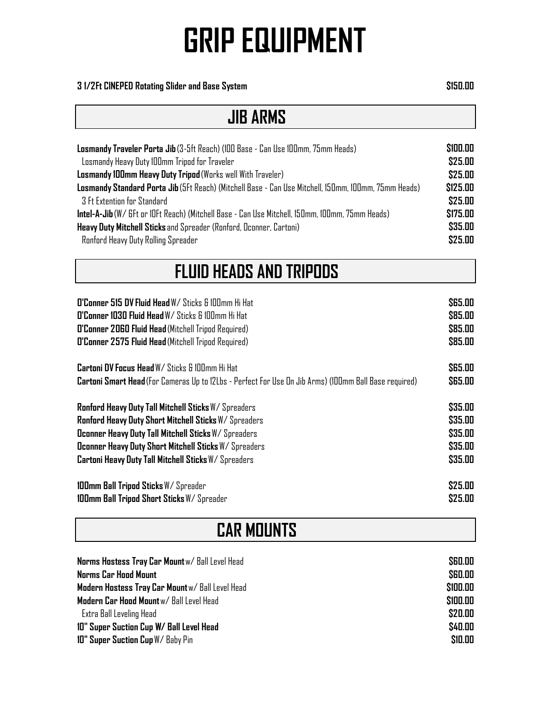#### **3 1/2Ft CINEPED Rotating Slider and Base System \$150.00**

#### **JIB ARMS**

| Losmandy Traveler Porta Jib (3-5ft Reach) (100 Base - Can Use 100mm, 75mm Heads)                       |          |
|--------------------------------------------------------------------------------------------------------|----------|
| Losmandy Heavy Duty 100mm Tripod for Traveler                                                          | \$25.00  |
| Losmandy 100mm Heavy Duty Tripod (Works well With Traveler)                                            | \$25.00  |
| Losmandy Standard Porta Jib (5Ft Reach) (Mitchell Base - Can Use Mitchell, 150mm, 100mm, 75mm Heads)   | \$125.00 |
| <b>3 Ft Extention for Standard</b>                                                                     | \$25.00  |
| <b>Intel-A-Jib</b> (W/ GFt or 10Ft Reach) (Mitchell Base - Can Use Mitchell, 150mm, 100mm, 75mm Heads) | \$175.00 |
| Heavy Duty Mitchell Sticks and Spreader (Ronford, Oconner, Cartoni)                                    | \$35.00  |
| Ronford Heavy Duty Rolling Spreader                                                                    | \$25.00  |

#### **FLUID HEADS AND TRIPODS**

| <b>O'Conner 515 DV Fluid Head</b> W/ Sticks & 100mm Hi Hat                                            | \$65.00       |
|-------------------------------------------------------------------------------------------------------|---------------|
| <b>O'Conner 1030 Fluid Head W/ Sticks &amp; 100mm Hi Hat</b>                                          | \$85.00       |
| O'Conner 2060 Fluid Head (Mitchell Tripod Required)                                                   | \$85.00       |
| O'Conner 2575 Fluid Head (Mitchell Tripod Required)                                                   | \$85.00       |
| <b>Cartoni DV Focus Head W/ Sticks &amp; 100mm Hi Hat</b>                                             | <b>S65.00</b> |
| Cartoni Smart Head (For Cameras Up to 12Lbs - Perfect For Use On Jib Arms) (100mm Ball Base required) | \$65.00       |
| <b>Ronford Heavy Duty Tall Mitchell Sticks W/Spreaders</b>                                            | \$35.00       |
| Ronford Heavy Duty Short Mitchell Sticks W/Spreaders                                                  | \$35.00       |
| <b>Oconner Heavy Duty Tall Mitchell Sticks W/Spreaders</b>                                            | \$35.00       |
| <b>Oconner Heavy Duty Short Mitchell Sticks W/Spreaders</b>                                           | \$35.00       |
| Cartoni Heavy Duty Tall Mitchell Sticks W/Spreaders                                                   | \$35.00       |
| <b>100mm Ball Tripod Sticks W/Spreader</b>                                                            | \$25.00       |
| 100mm Ball Tripod Short Sticks W/Spreader                                                             | \$25.00       |

#### **CAR MOUNTS Norms Hostess Tray Car Mount** w/ Ball Level Head **\$60.00 Norms Car Hood Mount \$60.00 Modern Hostess Tray Car Mount** w/ Ball Level Head **\$100.00 Modern Car Hood Mount** w/ Ball Level Head **\$100.00**

 Extra Ball Leveling Head **\$20.00 10" Super Suction Cup W/ Ball Level Head \$40.00 10" Super Suction Cup** W/ Baby Pin **\$10.00**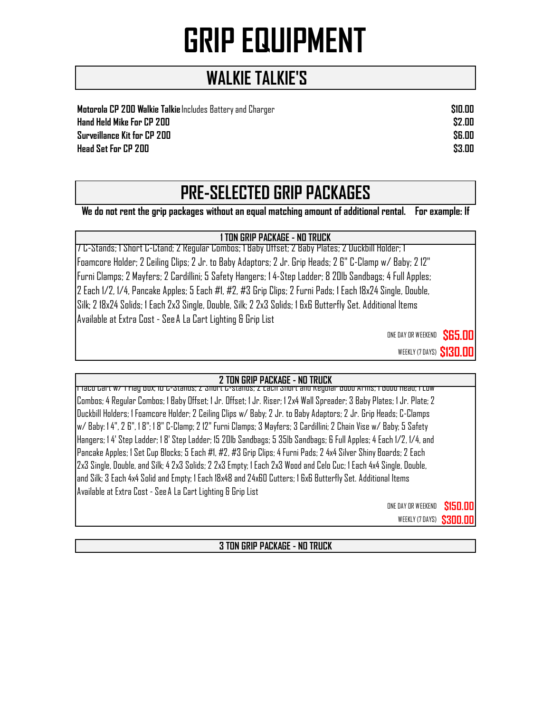#### **WALKIE TALKIE'S**

**Motorola CP 200 Walkie Talkie** Includes Battery and Charger **\$10.00 Hand Held Mike For CP 200 \$2.00 Surveillance Kit for CP 200 \$6.00 Head Set For CP 200 \$3.00**

### **PRE-SELECTED GRIP PACKAGES**

**We do not rent the grip packages without an equal matching amount of additional rental. For example: If** 

#### **1 TON GRIP PACKAGE - NO TRUCK**

7 C-Stands; 1 Short C-Ctand; 2 Regular Combos; 1 Baby Offset; 2 Baby Plates; 2 Duckbill Holder; 1 Foamcore Holder; 2 Ceiling Clips; 2 Jr. to Baby Adaptors; 2 Jr. Grip Heads; 2 6" C-Clamp w/ Baby; 2 12" Furni Clamps; 2 Mayfers; 2 Cardillini; 5 Safety Hangers; 1 4-Step Ladder; 8 20lb Sandbags; 4 Full Apples; 2 Each 1/2, 1/4, Pancake Apples; 5 Each #1, #2, #3 Grip Clips; 2 Furni Pads; 1 Each 18x24 Single, Double, Silk; 2 18x24 Solids; 1 Each 2x3 Single, Double, Silk; 2 2x3 Solids; 1 6x6 Butterfly Set. Additional Items Available at Extra Cost - See A La Cart Lighting & Grip List

ONE DAY OR WEEKEND **\$65.00** 

WEEKLY (7 DAYS) **\$130.0** 

#### **2 TON GRIP PACKAGE - NO TRUCK**

1 Taco Cart w/ 1 Flag Box; 10 C-Stands; 2 Short C-stands; 2 Each Short and Regular Gobo Arms; 1 Gobo Head; 1 Low Combos; 4 Regular Combos; 1 Baby Offset; 1 Jr. Offset; 1 Jr. Riser; 1 2x4 Wall Spreader; 3 Baby Plates; 1 Jr. Plate; 2 Duckbill Holders; 1 Foamcore Holder; 2 Ceiling Clips w/ Baby; 2 Jr. to Baby Adaptors; 2 Jr. Grip Heads; C-Clamps w/ Baby: 1 4", 2 6", 1 8"; 1 8" C-Clamp; 2 12" Furni Clamps; 3 Mayfers; 3 Cardillini; 2 Chain Vise w/ Baby; 5 Safety Hangers; 1 4' Step Ladder; 1 8' Step Ladder; 15 20lb Sandbags; 5 35lb Sandbags; 6 Full Apples; 4 Each 1/2, 1/4, and Pancake Apples; 1 Set Cup Blocks; 5 Each #1, #2, #3 Grip Clips; 4 Furni Pads; 2 4x4 Silver Shiny Boards; 2 Each 2x3 Single, Double, and Silk; 4 2x3 Solids; 2 2x3 Empty; 1 Each 2x3 Wood and Celo Cuc; 1 Each 4x4 Single, Double, and Silk; 3 Each 4x4 Solid and Empty; 1 Each 18x48 and 24x60 Cutters; 1 6x6 Butterfly Set. Additional Items Available at Extra Cost - See A La Cart Lighting & Grip List

> ONE DAY OR WEEKEND **\$150.00 WEEKLY (7 DAYS) \$300.00**

**3 TON GRIP PACKAGE - NO TRUCK**